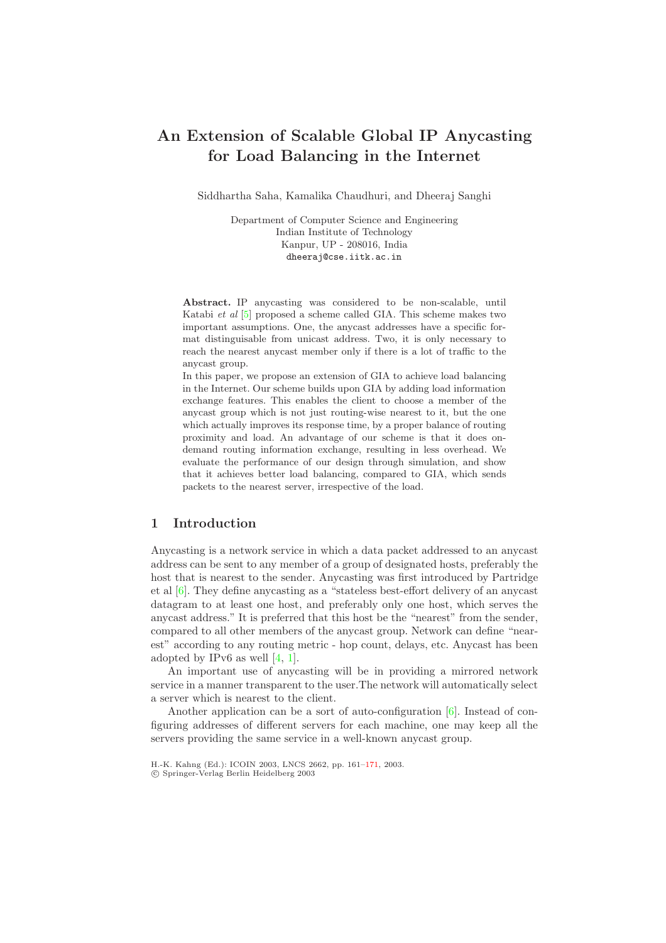# <span id="page-0-0"></span>**An Extension of Scalable Global IP Anycasting for Load Balancing in the Internet**

Siddhartha Saha, Kamalika Chaudhuri, and Dheeraj Sanghi

Department of Computer Science and Engineering Indian Institute of Technology Kanpur, UP - 208016, India dheeraj@cse.iitk.ac.in

**Abstract.** IP anycasting was considered to be non-scalable, until Katabi *et al* [\[5\]](#page-9-0) proposed a scheme called GIA. This scheme makes two important assumptions. One, the anycast addresses have a specific format distinguisable from unicast address. Two, it is only necessary to reach the nearest anycast member only if there is a lot of traffic to the anycast group.

In this paper, we propose an extension of GIA to achieve load balancing in the Internet. Our scheme builds upon GIA by adding load information exchange features. This enables the client to choose a member of the anycast group which is not just routing-wise nearest to it, but the one which actually improves its response time, by a proper balance of routing proximity and load. An advantage of our scheme is that it does ondemand routing information exchange, resulting in less overhead. We evaluate the performance of our design through simulation, and show that it achieves better load balancing, compared to GIA, which sends packets to the nearest server, irrespective of the load.

# **1 Introduction**

Anycasting is a network service in which a data packet addressed to an anycast address can be sent to any member of a group of designated hosts, preferably the host that is nearest to the sender. Anycasting was first introduced by Partridge et al [\[6\]](#page-9-1). They define anycasting as a "stateless best-effort delivery of an anycast datagram to at least one host, and preferably only one host, which serves the anycast address." It is preferred that this host be the "nearest" from the sender, compared to all other members of the anycast group. Network can define "nearest" according to any routing metric - hop count, delays, etc. Anycast has been adopted by IPv6 as well  $[4, 1]$  $[4, 1]$  $[4, 1]$ .

An important use of anycasting will be in providing a mirrored network service in a manner transparent to the user.The network will automatically select a server which is nearest to the client.

Another application can be a sort of auto-configuration [\[6\]](#page-9-1). Instead of configuring addresses of different servers for each machine, one may keep all the servers providing the same service in a well-known anycast group.

H.-K. Kahng (Ed.): ICOIN 2003, LNCS 2662, pp. 161[–171,](#page-10-0) 2003.

c Springer-Verlag Berlin Heidelberg 2003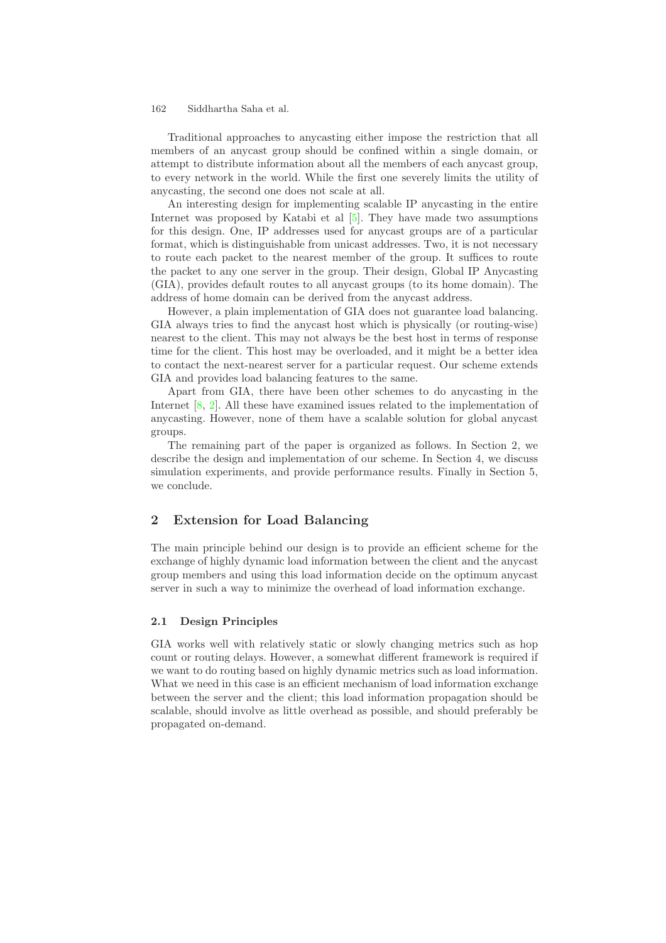<span id="page-1-1"></span><span id="page-1-0"></span>Traditional approaches to anycasting either impose the restriction that all members of an anycast group should be confined within a single domain, or attempt to distribute information about all the members of each anycast group, to every network in the world. While the first one severely limits the utility of anycasting, the second one does not scale at all.

An interesting design for implementing scalable IP any casting in the entire Internet was proposed by Katabi et al [\[5\]](#page-9-4). They have made two assumptions for this design. One, IP addresses used for any cast groups are of a particular format, which is distinguishable from unicast addresses. Two, it is not necessary to route each packet to the nearest member of the group. It suffices to route the packet to any one server in the group. Their design, Global IP Anycasting (GIA), provides default routes to all anycast groups (to its home domain). The address of home domain can be derived from the anycast address.

However, a plain implementation of GIA does not guarantee load balancing. GIA always tries to find the anycast host which is physically (or routing-wise) nearest to the client. This may not always be the best host in terms of response time for the client. This host may be overloaded, and it might be a better idea to contact the next-nearest server for a particular request. Our scheme extends GIA and provides load balancing features to the same.

Apart from GIA, there have been other schemes to do anycasting in the Internet [\[8,](#page-10-1) [2\]](#page-9-5). All these have examined issues related to the implementation of anycasting. However, none of them have a scalable solution for global anycast groups.

The remaining part of the paper is organized as follows. In Section 2, we describe the design and implementation of our scheme. In Section 4, we discuss simulation experiments, and provide performance results. Finally in Section 5, we conclude.

# **2 Extension for Load Balancing**

The main principle behind our design is to provide an efficient scheme for the exchange of highly dynamic load information between the client and the anycast group members and using this load information decide on the optimum anycast server in such a way to minimize the overhead of load information exchange.

# **2.1 Design Principles**

GIA works well with relatively static or slowly changing metrics such as hop count or routing delays. However, a somewhat different framework is required if we want to do routing based on highly dynamic metrics such as load information. What we need in this case is an efficient mechanism of load information exchange between the server and the client; this load information propagation should be scalable, should involve as little overhead as possible, and should preferably be propagated on-demand.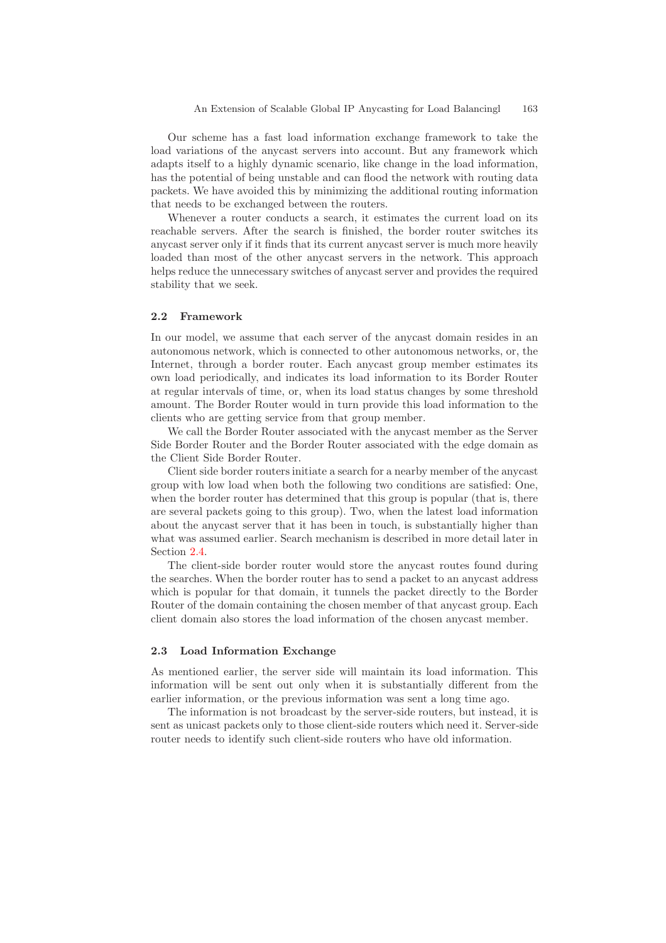Our scheme has a fast load information exchange framework to take the load variations of the anycast servers into account. But any framework which adapts itself to a highly dynamic scenario, like change in the load information, has the potential of being unstable and can flood the network with routing data packets. We have avoided this by minimizing the additional routing information that needs to be exchanged between the routers.

Whenever a router conducts a search, it estimates the current load on its reachable servers. After the search is finished, the border router switches its anycast server only if it finds that its current anycast server is much more heavily loaded than most of the other anycast servers in the network. This approach helps reduce the unnecessary switches of anycast server and provides the required stability that we seek.

#### **2.2 Framework**

In our model, we assume that each server of the anycast domain resides in an autonomous network, which is connected to other autonomous networks, or, the Internet, through a border router. Each anycast group member estimates its own load periodically, and indicates its load information to its Border Router at regular intervals of time, or, when its load status changes by some threshold amount. The Border Router would in turn provide this load information to the clients who are getting service from that group member.

We call the Border Router associated with the anycast member as the Server Side Border Router and the Border Router associated with the edge domain as the Client Side Border Router.

Client side border routers initiate a search for a nearby member of the anycast group with low load when both the following two conditions are satisfied: One, when the border router has determined that this group is popular (that is, there are several packets going to this group). Two, when the latest load information about the anycast server that it has been in touch, is substantially higher than what was assumed earlier. Search mechanism is described in more detail later in Section [2.4.](#page-3-0)

The client-side border router would store the anycast routes found during the searches. When the border router has to send a packet to an anycast address which is popular for that domain, it tunnels the packet directly to the Border Router of the domain containing the chosen member of that anycast group. Each client domain also stores the load information of the chosen anycast member.

#### **2.3 Load Information Exchange**

As mentioned earlier, the server side will maintain its load information. This information will be sent out only when it is substantially different from the earlier information, or the previous information was sent a long time ago.

The information is not broadcast by the server-side routers, but instead, it is sent as unicast packets only to those client-side routers which need it. Server-side router needs to identify such client-side routers who have old information.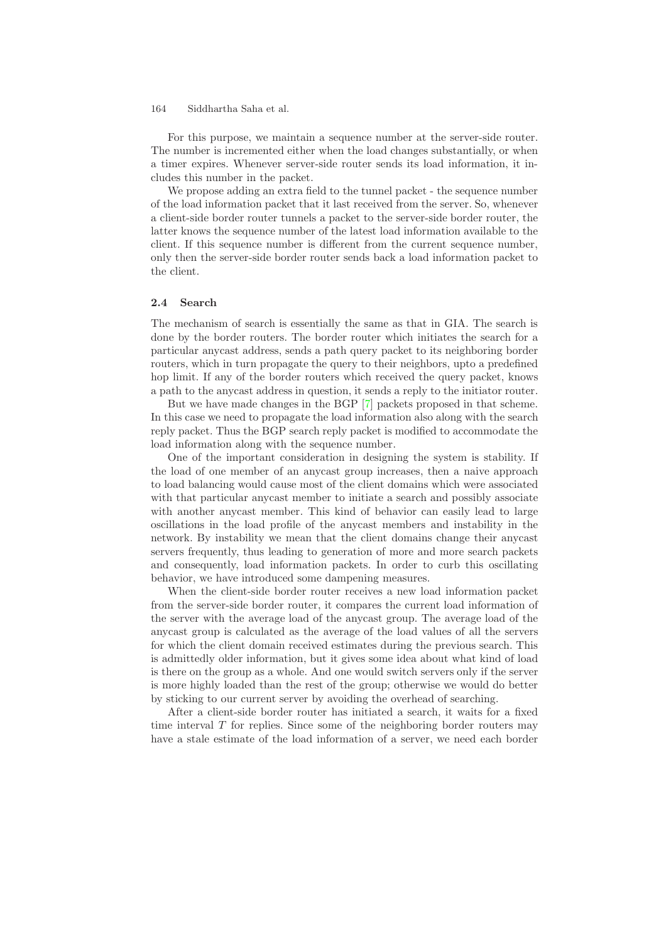<span id="page-3-1"></span>For this purpose, we maintain a sequence number at the server-side router. The number is incremented either when the load changes substantially, or when a timer expires. Whenever server-side router sends its load information, it includes this number in the packet.

We propose adding an extra field to the tunnel packet - the sequence number of the load information packet that it last received from the server. So, whenever a client-side border router tunnels a packet to the server-side border router, the latter knows the sequence number of the latest load information available to the client. If this sequence number is different from the current sequence number, only then the server-side border router sends back a load information packet to the client.

#### <span id="page-3-0"></span>**2.4 Search**

The mechanism of search is essentially the same as that in GIA. The search is done by the border routers. The border router which initiates the search for a particular anycast address, sends a path query packet to its neighboring border routers, which in turn propagate the query to their neighbors, upto a predefined hop limit. If any of the border routers which received the query packet, knows a path to the anycast address in question, it sends a reply to the initiator router.

But we have made changes in the BGP[\[7\]](#page-9-6) packets proposed in that scheme. In this case we need to propagate the load information also along with the search reply packet. Thus the BGP search reply packet is modified to accommodate the load information along with the sequence number.

One of the important consideration in designing the system is stability. If the load of one member of an anycast group increases, then a naive approach to load balancing would cause most of the client domains which were associated with that particular anycast member to initiate a search and possibly associate with another anycast member. This kind of behavior can easily lead to large oscillations in the load profile of the anycast members and instability in the network. By instability we mean that the client domains change their anycast servers frequently, thus leading to generation of more and more search packets and consequently, load information packets. In order to curb this oscillating behavior, we have introduced some dampening measures.

When the client-side border router receives a new load information packet from the server-side border router, it compares the current load information of the server with the average load of the anycast group. The average load of the anycast group is calculated as the average of the load values of all the servers for which the client domain received estimates during the previous search. This is admittedly older information, but it gives some idea about what kind of load is there on the group as a whole. And one would switch servers only if the server is more highly loaded than the rest of the group; otherwise we would do better by sticking to our current server by avoiding the overhead of searching.

After a client-side border router has initiated a search, it waits for a fixed time interval *T* for replies. Since some of the neighboring border routers may have a stale estimate of the load information of a server, we need each border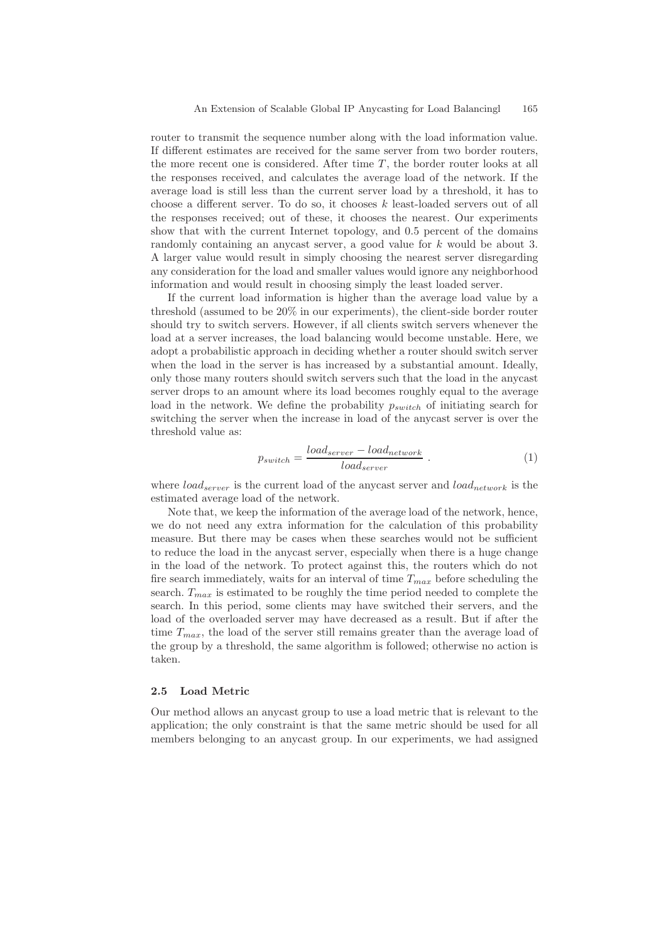router to transmit the sequence number along with the load information value. If different estimates are received for the same server from two border routers, the more recent one is considered. After time *T* , the border router looks at all the responses received, and calculates the average load of the network. If the average load is still less than the current server load by a threshold, it has to choose a different server. To do so, it chooses *k* least-loaded servers out of all the responses received; out of these, it chooses the nearest. Our experiments show that with the current Internet topology, and 0.5 percent of the domains randomly containing an anycast server, a good value for *k* would be about 3. A larger value would result in simply choosing the nearest server disregarding any consideration for the load and smaller values would ignore any neighborhood information and would result in choosing simply the least loaded server.

If the current load information is higher than the average load value by a threshold (assumed to be 20% in our experiments), the client-side border router should try to switch servers. However, if all clients switch servers whenever the load at a server increases, the load balancing would become unstable. Here, we adopt a probabilistic approach in deciding whether a router should switch server when the load in the server is has increased by a substantial amount. Ideally, only those many routers should switch servers such that the load in the anycast server drops to an amount where its load becomes roughly equal to the average load in the network. We define the probability *pswitch* of initiating search for switching the server when the increase in load of the anycast server is over the threshold value as:

$$
p_{switch} = \frac{load_{server} - load_{network}}{load_{server}} \ . \tag{1}
$$

where *loadserver* is the current load of the anycast server and *loadnetwork* is the estimated average load of the network.

Note that, we keep the information of the average load of the network, hence, we do not need any extra information for the calculation of this probability measure. But there may be cases when these searches would not be sufficient to reduce the load in the anycast server, especially when there is a huge change in the load of the network. To protect against this, the routers which do not fire search immediately, waits for an interval of time *Tmax* before scheduling the search. *Tmax* is estimated to be roughly the time period needed to complete the search. In this period, some clients may have switched their servers, and the load of the overloaded server may have decreased as a result. But if after the time *Tmax*, the load of the server still remains greater than the average load of the group by a threshold, the same algorithm is followed; otherwise no action is taken.

#### **2.5 Load Metric**

Our method allows an anycast group to use a load metric that is relevant to the application; the only constraint is that the same metric should be used for all members belonging to an anycast group. In our experiments, we had assigned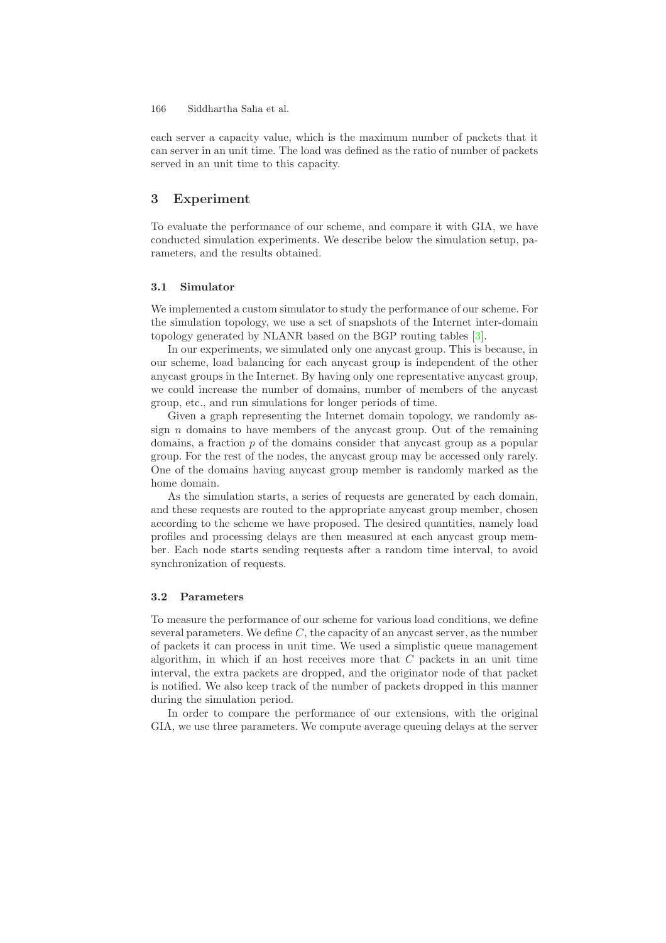<span id="page-5-0"></span>each server a capacity value, which is the maximum number of packets that it can server in an unit time. The load was defined as the ratio of number of packets served in an unit time to this capacity.

## **3 Experiment**

To evaluate the performance of our scheme, and compare it with GIA, we have conducted simulation experiments. We describe below the simulation setup, parameters, and the results obtained.

#### **3.1 Simulator**

We implemented a custom simulator to study the performance of our scheme. For the simulation topology, we use a set of snapshots of the Internet inter-domain topology generated by NLANR based on the BGP routing tables  $[3]$ .

In our experiments, we simulated only one anycast group. This is because, in our scheme, load balancing for each anycast group is independent of the other anycast groups in the Internet. By having only one representative anycast group, we could increase the number of domains, number of members of the anycast group, etc., and run simulations for longer periods of time.

Given a graph representing the Internet domain topology, we randomly assign *n* domains to have members of the anycast group. Out of the remaining domains, a fraction *p* of the domains consider that anycast group as a popular group. For the rest of the nodes, the anycast group may be accessed only rarely. One of the domains having anycast group member is randomly marked as the home domain.

As the simulation starts, a series of requests are generated by each domain, and these requests are routed to the appropriate anycast group member, chosen according to the scheme we have proposed. The desired quantities, namely load profiles and processing delays are then measured at each anycast group member. Each node starts sending requests after a random time interval, to avoid synchronization of requests.

#### **3.2 Parameters**

To measure the performance of our scheme for various load conditions, we define several parameters. We define *C*, the capacity of an anycast server, as the number of packets it can process in unit time. We used a simplistic queue management algorithm, in which if an host receives more that *C* packets in an unit time interval, the extra packets are dropped, and the originator node of that packet is notified. We also keep track of the number of packets dropped in this manner during the simulation period.

In order to compare the performance of our extensions, with the original GIA, we use three parameters. We compute average queuing delays at the server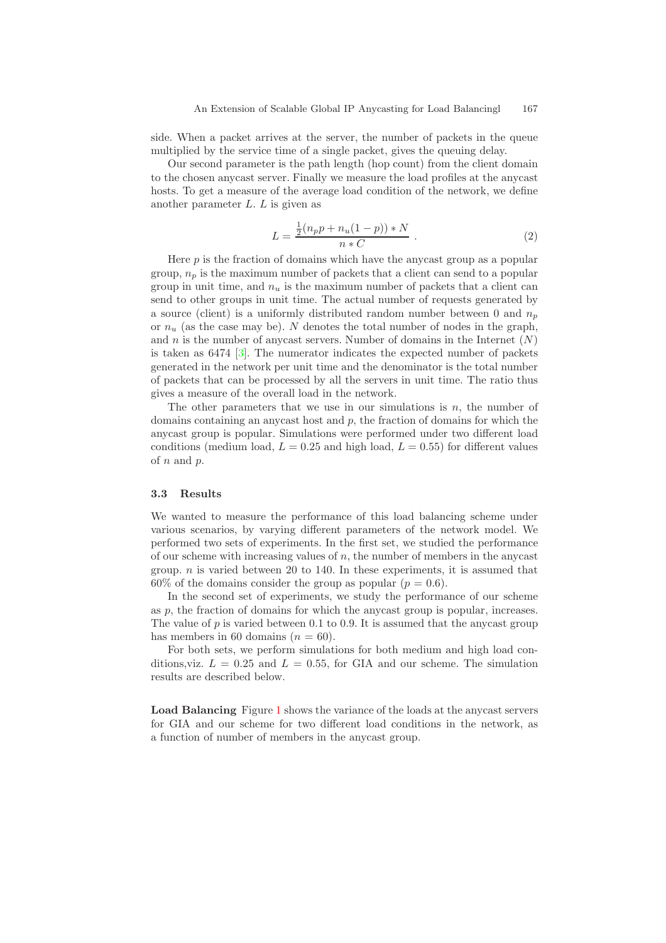<span id="page-6-0"></span>side. When a packet arrives at the server, the number of packets in the queue multiplied by the service time of a single packet, gives the queuing delay.

Our second parameter is the path length (hop count) from the client domain to the chosen anycast server. Finally we measure the load profiles at the anycast hosts. To get a measure of the average load condition of the network, we define another parameter *L*. *L* is given as

$$
L = \frac{\frac{1}{2}(n_p p + n_u(1-p)) * N}{n * C} .
$$
 (2)

Here  $p$  is the fraction of domains which have the any cast group as a popular group,  $n_p$  is the maximum number of packets that a client can send to a popular group in unit time, and  $n<sub>u</sub>$  is the maximum number of packets that a client can send to other groups in unit time. The actual number of requests generated by a source (client) is a uniformly distributed random number between 0 and *n<sup>p</sup>* or  $n_u$  (as the case may be). *N* denotes the total number of nodes in the graph, and *n* is the number of anycast servers. Number of domains in the Internet (*N*) is taken as 6474 [\[3\]](#page-9-8). The numerator indicates the expected number of packets generated in the network per unit time and the denominator is the total number of packets that can be processed by all the servers in unit time. The ratio thus gives a measure of the overall load in the network.

The other parameters that we use in our simulations is *n*, the number of domains containing an anycast host and *p*, the fraction of domains for which the anycast group is popular. Simulations were performed under two different load conditions (medium load,  $L = 0.25$  and high load,  $L = 0.55$ ) for different values of *n* and *p*.

#### **3.3 Results**

We wanted to measure the performance of this load balancing scheme under various scenarios, by varying different parameters of the network model. We performed two sets of experiments. In the first set, we studied the performance of our scheme with increasing values of *n*, the number of members in the anycast group. *n* is varied between 20 to 140. In these experiments, it is assumed that  $60\%$  of the domains consider the group as popular  $(p = 0.6)$ .

In the second set of experiments, we study the performance of our scheme as *p*, the fraction of domains for which the anycast group is popular, increases. The value of p is varied between 0.1 to 0.9. It is assumed that the any cast group has members in 60 domains  $(n = 60)$ .

For both sets, we perform simulations for both medium and high load conditions, viz.  $L = 0.25$  and  $L = 0.55$ , for GIA and our scheme. The simulation results are described below.

**Load Balancing** Figure [1](#page-7-0) shows the variance of the loads at the anycast servers for GIA and our scheme for two different load conditions in the network, as a function of number of members in the anycast group.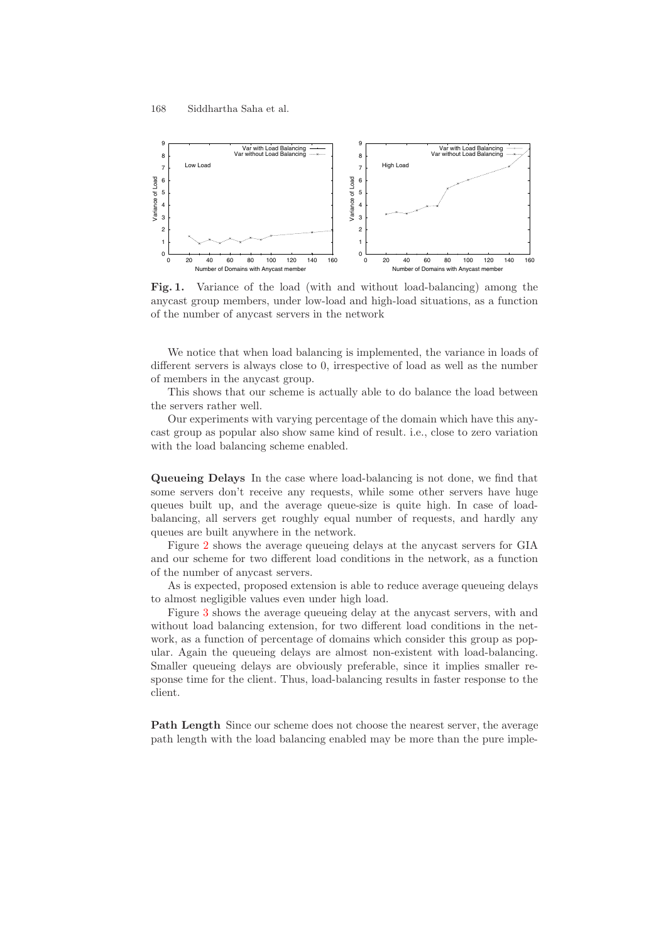<span id="page-7-0"></span>

**Fig. 1.** Variance of the load (with and without load-balancing) among the anycast group members, under low-load and high-load situations, as a function of the number of anycast servers in the network

We notice that when load balancing is implemented, the variance in loads of different servers is always close to 0, irrespective of load as well as the number of members in the anycast group.

This shows that our scheme is actually able to do balance the load between the servers rather well.

Our experiments with varying percentage of the domain which have this anycast group as popular also show same kind of result. i.e., close to zero variation with the load balancing scheme enabled.

**Queueing Delays** In the case where load-balancing is not done, we find that some servers don't receive any requests, while some other servers have huge queues built up, and the average queue-size is quite high. In case of loadbalancing, all servers get roughly equal number of requests, and hardly any queues are built anywhere in the network.

Figure [2](#page-8-0) shows the average queueing delays at the anycast servers for GIA and our scheme for two different load conditions in the network, as a function of the number of anycast servers.

As is expected, proposed extension is able to reduce average queueing delays to almost negligible values even under high load.

Figure [3](#page-8-1) shows the average queueing delay at the anycast servers, with and without load balancing extension, for two different load conditions in the network, as a function of percentage of domains which consider this group as popular. Again the queueing delays are almost non-existent with load-balancing. Smaller queueing delays are obviously preferable, since it implies smaller response time for the client. Thus, load-balancing results in faster response to the client.

**Path Length** Since our scheme does not choose the nearest server, the average path length with the load balancing enabled may be more than the pure imple-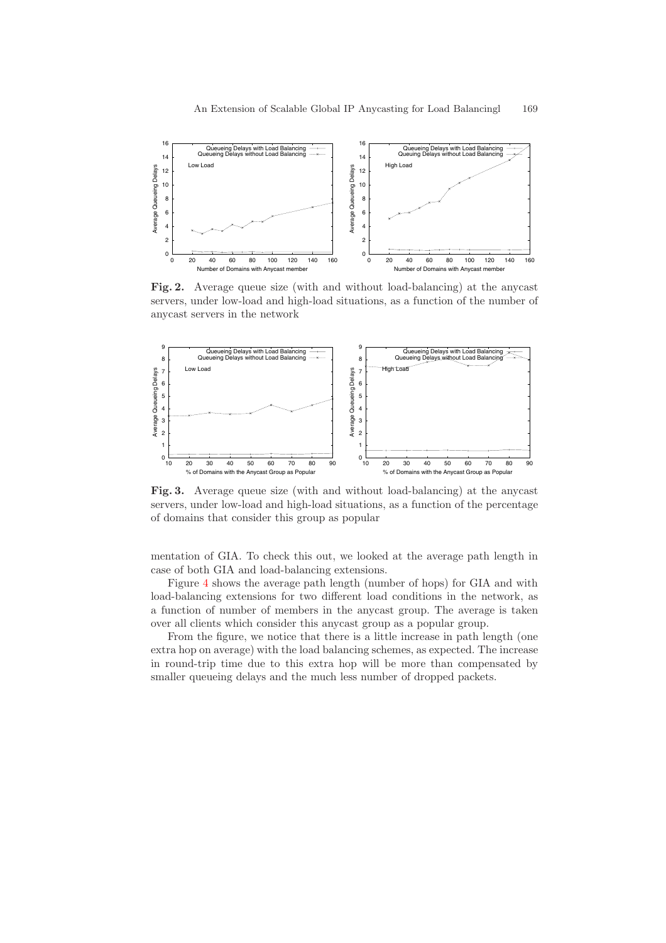<span id="page-8-0"></span>

<span id="page-8-1"></span>**Fig. 2.** Average queue size (with and without load-balancing) at the anycast servers, under low-load and high-load situations, as a function of the number of anycast servers in the network



**Fig. 3.** Average queue size (with and without load-balancing) at the anycast servers, under low-load and high-load situations, as a function of the percentage of domains that consider this group as popular

mentation of GIA. To check this out, we looked at the average path length in case of both GIA and load-balancing extensions.

Figure [4](#page-9-9) shows the average path length (number of hops) for GIA and with load-balancing extensions for two different load conditions in the network, as a function of number of members in the anycast group. The average is taken over all clients which consider this anycast group as a popular group.

From the figure, we notice that there is a little increase in path length (one extra hop on average) with the load balancing schemes, as expected. The increase in round-trip time due to this extra hop will be more than compensated by smaller queueing delays and the much less number of dropped packets.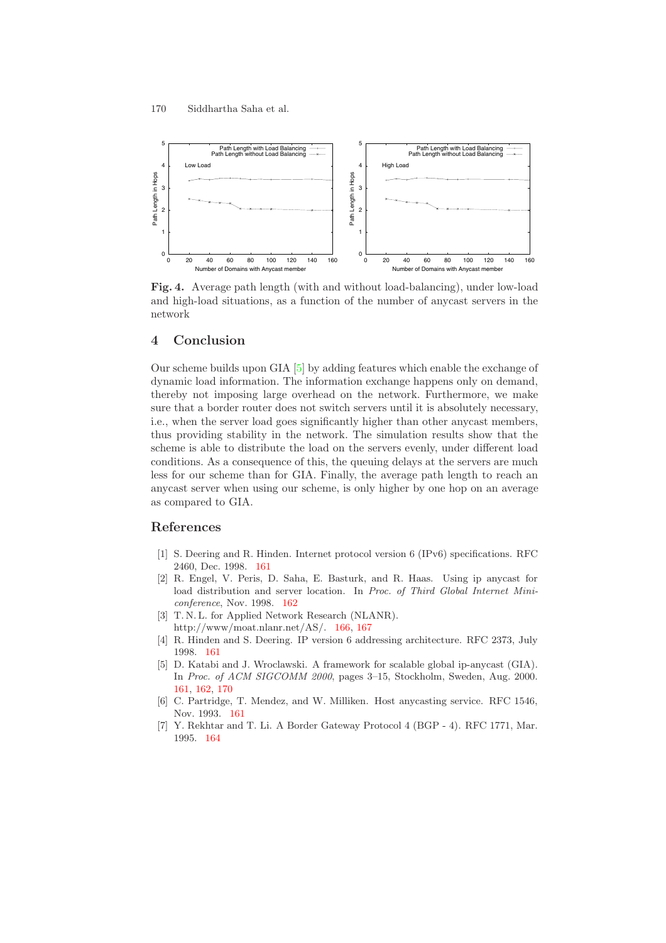<span id="page-9-10"></span><span id="page-9-9"></span>

**Fig. 4.** Average path length (with and without load-balancing), under low-load and high-load situations, as a function of the number of anycast servers in the network

### **4 Conclusion**

Our scheme builds upon GIA [\[5\]](#page-9-4) by adding features which enable the exchange of dynamic load information. The information exchange happens only on demand, thereby not imposing large overhead on the network. Furthermore, we make sure that a border router does not switch servers until it is absolutely necessary, i.e., when the server load goes significantly higher than other anycast members, thus providing stability in the network. The simulation results show that the scheme is able to distribute the load on the servers evenly, under different load conditions. As a consequence of this, the queuing delays at the servers are much less for our scheme than for GIA. Finally, the average path length to reach an anycast server when using our scheme, is only higher by one hop on an average as compared to GIA.

## <span id="page-9-5"></span><span id="page-9-3"></span>**References**

- [1] S. Deering and R. Hinden. Internet protocol version 6 (IPv6) specifications. RFC 2460, Dec. 1998. [161](#page-0-0)
- <span id="page-9-8"></span><span id="page-9-7"></span>[2] R. Engel, V. Peris, D. Saha, E. Basturk, and R. Haas. Using ip anycast for load distribution and server location. In *Proc. of Third Global Internet Miniconference*, Nov. 1998. [162](#page-1-0)
- <span id="page-9-2"></span>[3] T. N. L. for Applied Network Research (NLANR). http://www/moat.nlanr.net/AS/. [166,](#page-5-0) [167](#page-6-0)
- <span id="page-9-4"></span><span id="page-9-0"></span>[4] R. Hinden and S. Deering. IP version 6 addressing architecture. RFC 2373, July 1998. [161](#page-0-0)
- <span id="page-9-1"></span>[5] D. Katabi and J. Wroclawski. A framework for scalable global ip-anycast (GIA). In *Proc. of ACM SIGCOMM 2000*, pages 3–15, Stockholm, Sweden, Aug. 2000. [161,](#page-0-0) [162,](#page-1-0) [170](#page-9-10)
- <span id="page-9-6"></span>[6] C. Partridge, T. Mendez, and W. Milliken. Host anycasting service. RFC 1546, Nov. 1993. [161](#page-0-0)
- [7] Y. Rekhtar and T. Li. A Border Gateway Protocol 4 (BGP 4). RFC 1771, Mar. 1995. [164](#page-3-1)